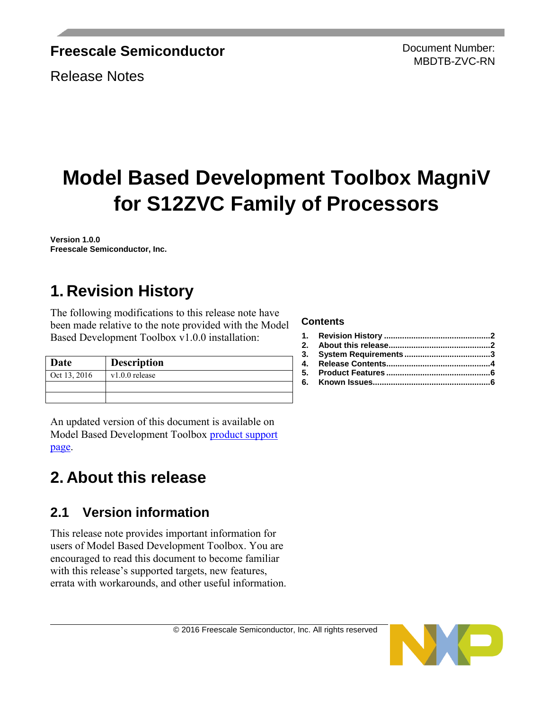### **Freescale Semiconductor**

Release Notes

Document Number: MBDTB-ZVC-RN

# **Model Based Development Toolbox MagniV for S12ZVC Family of Processors**

**Version 1.0.0 Freescale Semiconductor, Inc.** 

## <span id="page-0-0"></span>**1. Revision History**

The following modifications to this release note have been made relative to the note provided with the Model Based Development Toolbox v1.0.0 installation:

| Date         | <b>Description</b> |  |
|--------------|--------------------|--|
| Oct 13, 2016 | $v1.0.0$ release   |  |
|              |                    |  |
|              |                    |  |

An updated version of this document is available on Model Based Development Toolbox [product support](http://www.nxp.com/products/software-and-tools/run-time-software/automotive-software-and-tools/motor-control-development-solutions/motor-control-development-toolbox:MC_TOOLBOX?code=MC_TOOLBOX&nodeId=0152109D3F12B8F6F8&fpsp=1&tab=Documentation_Tab)  [page.](http://www.nxp.com/products/software-and-tools/run-time-software/automotive-software-and-tools/motor-control-development-solutions/motor-control-development-toolbox:MC_TOOLBOX?code=MC_TOOLBOX&nodeId=0152109D3F12B8F6F8&fpsp=1&tab=Documentation_Tab)

## <span id="page-0-1"></span>**2. About this release**

### **2.1 Version information**

This release note provides important information for users of Model Based Development Toolbox. You are encouraged to read this document to become familiar with this release's supported targets, new features, errata with workarounds, and other useful information.

#### **Contents**



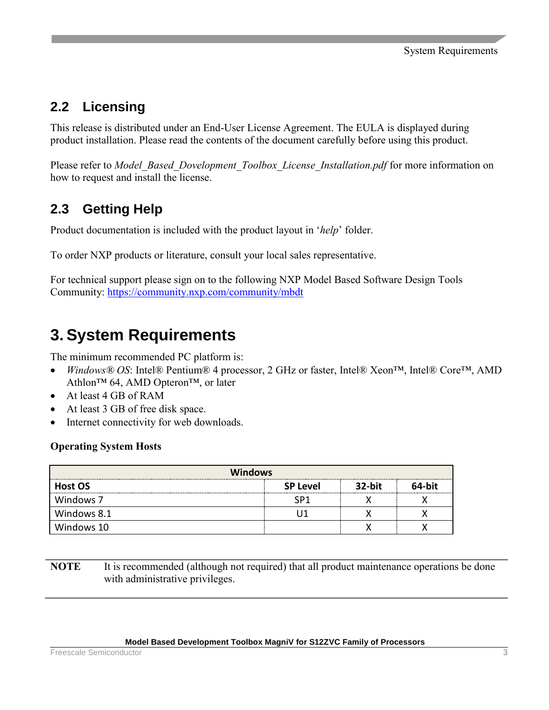## **2.2 Licensing**

This release is distributed under an End-User License Agreement. The EULA is displayed during product installation. Please read the contents of the document carefully before using this product.

Please refer to *Model Based Dovelopment Toolbox License Installation.pdf* for more information on how to request and install the license.

## **2.3 Getting Help**

Product documentation is included with the product layout in '*help*' folder.

To order NXP products or literature, consult your local sales representative.

For technical support please sign on to the following NXP Model Based Software Design Tools Community:<https://community.nxp.com/community/mbdt>

## <span id="page-1-0"></span>**3. System Requirements**

The minimum recommended PC platform is:

- *Windows® OS*: Intel® Pentium® 4 processor, 2 GHz or faster, Intel® Xeon™, Intel® Core™, AMD Athlon™ 64, AMD Opteron™, or later
- At least 4 GB of RAM
- At least 3 GB of free disk space.
- Internet connectivity for web downloads.

#### **Operating System Hosts**

| <b>Windows</b> |                 |        |        |
|----------------|-----------------|--------|--------|
| <b>Host OS</b> | <b>SP Level</b> | 32-bit | 64-bit |
| Windows 7      |                 |        |        |
| Windows 8.1    |                 |        |        |
| Windows 10     |                 |        |        |

**NOTE** It is recommended (although not required) that all product maintenance operations be done with administrative privileges.

#### **Model Based Development Toolbox MagniV for S12ZVC Family of Processors**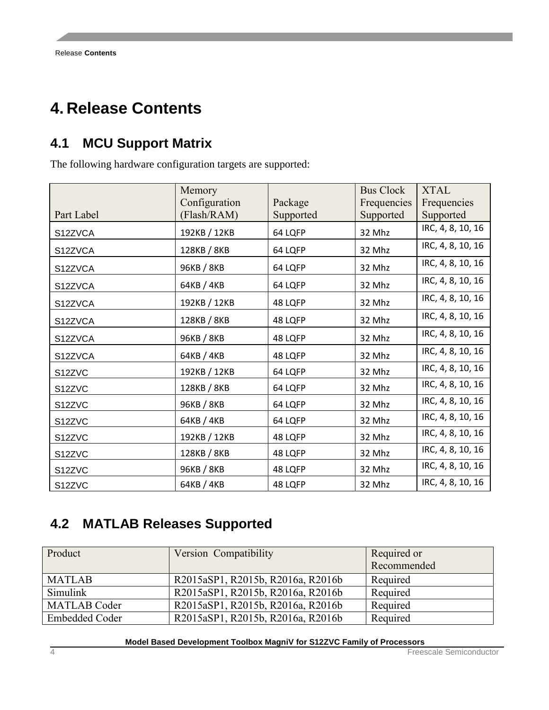## <span id="page-2-0"></span>**4. Release Contents**

## **4.1 MCU Support Matrix**

The following hardware configuration targets are supported:

|            | Memory        |           | <b>Bus Clock</b> | <b>XTAL</b>       |
|------------|---------------|-----------|------------------|-------------------|
|            | Configuration | Package   | Frequencies      | Frequencies       |
| Part Label | (Flash/RAM)   | Supported | Supported        | Supported         |
| S12ZVCA    | 192KB / 12KB  | 64 LQFP   | 32 Mhz           | IRC, 4, 8, 10, 16 |
| S12ZVCA    | 128KB / 8KB   | 64 LQFP   | 32 Mhz           | IRC, 4, 8, 10, 16 |
| S12ZVCA    | 96KB / 8KB    | 64 LQFP   | 32 Mhz           | IRC, 4, 8, 10, 16 |
| S12ZVCA    | 64KB / 4KB    | 64 LQFP   | 32 Mhz           | IRC, 4, 8, 10, 16 |
| S12ZVCA    | 192KB / 12KB  | 48 LQFP   | 32 Mhz           | IRC, 4, 8, 10, 16 |
| S12ZVCA    | 128KB / 8KB   | 48 LQFP   | 32 Mhz           | IRC, 4, 8, 10, 16 |
| S12ZVCA    | 96KB / 8KB    | 48 LQFP   | 32 Mhz           | IRC, 4, 8, 10, 16 |
| S12ZVCA    | 64KB / 4KB    | 48 LQFP   | 32 Mhz           | IRC, 4, 8, 10, 16 |
| S12ZVC     | 192KB / 12KB  | 64 LQFP   | 32 Mhz           | IRC, 4, 8, 10, 16 |
| S12ZVC     | 128KB / 8KB   | 64 LQFP   | 32 Mhz           | IRC, 4, 8, 10, 16 |
| S12ZVC     | 96KB / 8KB    | 64 LQFP   | 32 Mhz           | IRC, 4, 8, 10, 16 |
| S12ZVC     | 64KB / 4KB    | 64 LQFP   | 32 Mhz           | IRC, 4, 8, 10, 16 |
| S12ZVC     | 192KB / 12KB  | 48 LQFP   | 32 Mhz           | IRC, 4, 8, 10, 16 |
| S12ZVC     | 128KB / 8KB   | 48 LQFP   | 32 Mhz           | IRC, 4, 8, 10, 16 |
| S12ZVC     | 96KB / 8KB    | 48 LQFP   | 32 Mhz           | IRC, 4, 8, 10, 16 |
| S12ZVC     | 64KB / 4KB    | 48 LQFP   | 32 Mhz           | IRC, 4, 8, 10, 16 |

### **4.2 MATLAB Releases Supported**

| Product             | Version Compatibility             | Required or<br>Recommended |
|---------------------|-----------------------------------|----------------------------|
| <b>MATLAB</b>       | R2015aSP1, R2015b, R2016a, R2016b | Required                   |
| Simulink            | R2015aSP1, R2015b, R2016a, R2016b | Required                   |
| <b>MATLAB Coder</b> | R2015aSP1, R2015b, R2016a, R2016b | Required                   |
| Embedded Coder      | R2015aSP1, R2015b, R2016a, R2016b | Required                   |

**Model Based Development Toolbox MagniV for S12ZVC Family of Processors**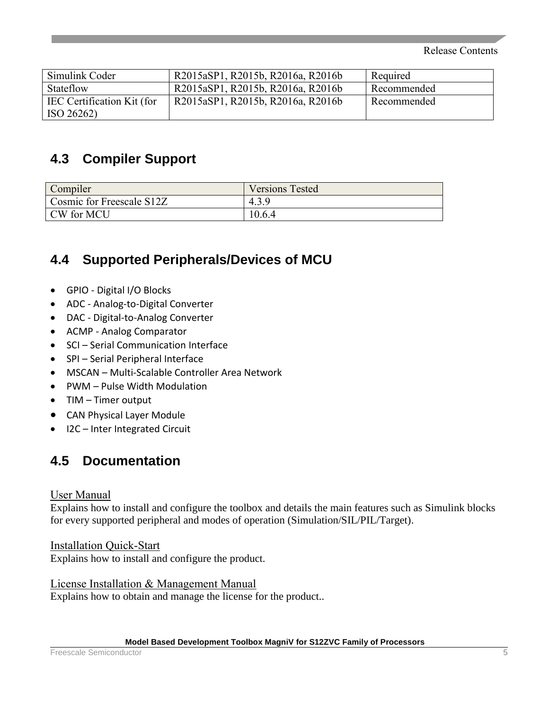Release Contents

| Simulink Coder             | R2015aSP1, R2015b, R2016a, R2016b | Required    |
|----------------------------|-----------------------------------|-------------|
| Stateflow                  | R2015aSP1, R2015b, R2016a, R2016b | Recommended |
| IEC Certification Kit (for | R2015aSP1, R2015b, R2016a, R2016b | Recommended |
| ISO 26262)                 |                                   |             |

### **4.3 Compiler Support**

| Compiler                  | <b>Versions Tested</b> |
|---------------------------|------------------------|
| Cosmic for Freescale S12Z | 4.3.9                  |
| CW for MCU                | 10.6.4                 |

## **4.4 Supported Peripherals/Devices of MCU**

- GPIO Digital I/O Blocks
- ADC Analog-to-Digital Converter
- DAC Digital-to-Analog Converter
- ACMP Analog Comparator
- SCI Serial Communication Interface
- SPI Serial Peripheral Interface
- MSCAN Multi-Scalable Controller Area Network
- PWM Pulse Width Modulation
- TIM Timer output
- CAN Physical Layer Module
- I2C Inter Integrated Circuit

### **4.5 Documentation**

#### User Manual

Explains how to install and configure the toolbox and details the main features such as Simulink blocks for every supported peripheral and modes of operation (Simulation/SIL/PIL/Target).

Installation Quick-Start Explains how to install and configure the product.

License Installation & Management Manual Explains how to obtain and manage the license for the product..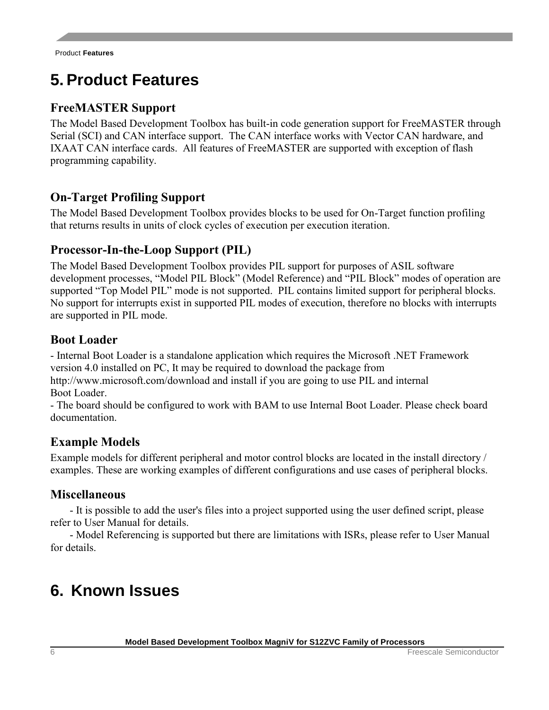## <span id="page-4-0"></span>**5. Product Features**

### **FreeMASTER Support**

The Model Based Development Toolbox has built-in code generation support for FreeMASTER through Serial (SCI) and CAN interface support. The CAN interface works with Vector CAN hardware, and IXAAT CAN interface cards. All features of FreeMASTER are supported with exception of flash programming capability.

#### **On-Target Profiling Support**

The Model Based Development Toolbox provides blocks to be used for On-Target function profiling that returns results in units of clock cycles of execution per execution iteration.

#### **Processor-In-the-Loop Support (PIL)**

The Model Based Development Toolbox provides PIL support for purposes of ASIL software development processes, "Model PIL Block" (Model Reference) and "PIL Block" modes of operation are supported "Top Model PIL" mode is not supported. PIL contains limited support for peripheral blocks. No support for interrupts exist in supported PIL modes of execution, therefore no blocks with interrupts are supported in PIL mode.

#### **Boot Loader**

- Internal Boot Loader is a standalone application which requires the Microsoft .NET Framework version 4.0 installed on PC, It may be required to download the package from http://www.microsoft.com/download and install if you are going to use PIL and internal

Boot Loader.

- The board should be configured to work with BAM to use Internal Boot Loader. Please check board documentation.

#### **Example Models**

Example models for different peripheral and motor control blocks are located in the install directory / examples. These are working examples of different configurations and use cases of peripheral blocks.

#### **Miscellaneous**

- It is possible to add the user's files into a project supported using the user defined script, please refer to User Manual for details.

- Model Referencing is supported but there are limitations with ISRs, please refer to User Manual for details.

## <span id="page-4-1"></span>**6. Known Issues**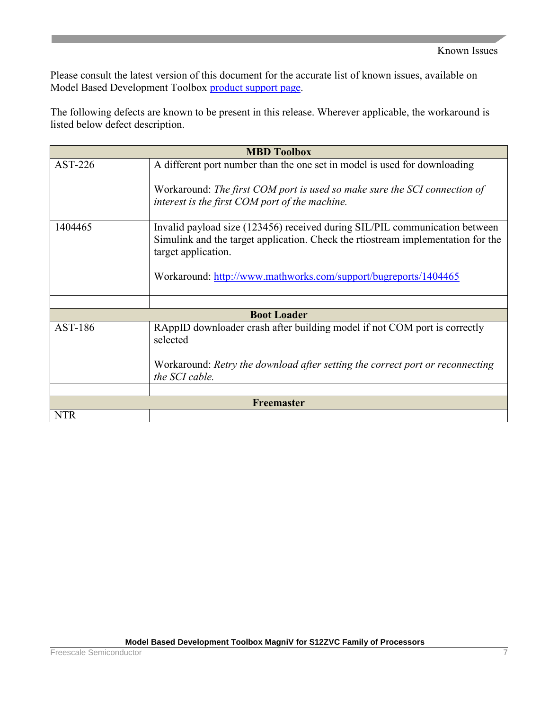Please consult the latest version of this document for the accurate list of known issues, available on Model Based Development Toolbox [product support page.](http://www.nxp.com/products/software-and-tools/run-time-software/automotive-software-and-tools/motor-control-development-solutions/motor-control-development-toolbox:MC_TOOLBOX?code=MC_TOOLBOX&nodeId=0152109D3F12B8F6F8&fpsp=1&tab=Documentation_Tab)

The following defects are known to be present in this release. Wherever applicable, the workaround is listed below defect description.

| <b>MBD Toolbox</b> |                                                                                                                                                                                        |  |
|--------------------|----------------------------------------------------------------------------------------------------------------------------------------------------------------------------------------|--|
| $AST-226$          | A different port number than the one set in model is used for downloading                                                                                                              |  |
|                    | Workaround: The first COM port is used so make sure the SCI connection of<br>interest is the first COM port of the machine.                                                            |  |
| 1404465            | Invalid payload size (123456) received during SIL/PIL communication between<br>Simulink and the target application. Check the rtiostream implementation for the<br>target application. |  |
|                    | Workaround: http://www.mathworks.com/support/bugreports/1404465                                                                                                                        |  |
|                    |                                                                                                                                                                                        |  |
|                    | <b>Boot Loader</b>                                                                                                                                                                     |  |
| AST-186            | RAppID downloader crash after building model if not COM port is correctly<br>selected                                                                                                  |  |
|                    | Workaround: Retry the download after setting the correct port or reconnecting<br>the SCI cable.                                                                                        |  |
|                    |                                                                                                                                                                                        |  |
| <b>Freemaster</b>  |                                                                                                                                                                                        |  |
| <b>NTR</b>         |                                                                                                                                                                                        |  |

ш